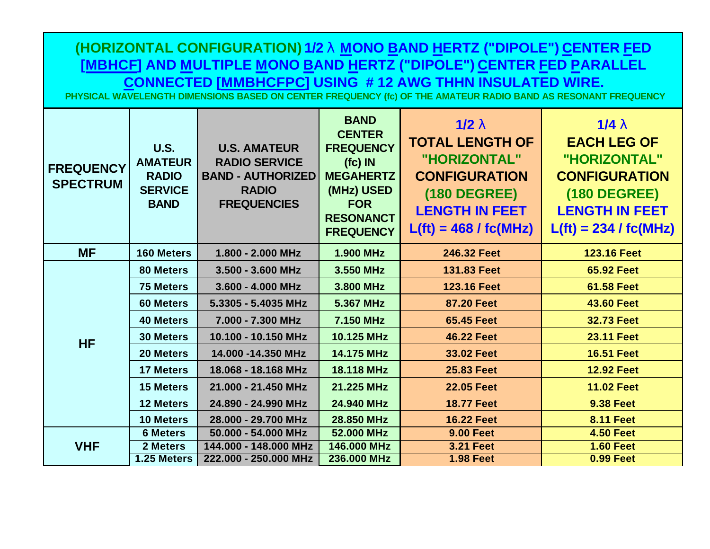**(HORIZONTAL CONFIGURATION) 1/2 l MONO BAND HERTZ ("DIPOLE") CENTER FED [MBHCF] AND MULTIPLE MONO BAND HERTZ ("DIPOLE") CENTER FED PARALLEL CONNECTED [MMBHCFPC] USING # 12 AWG THHN INSULATED WIRE.** 

**PHYSICAL WAVELENGTH DIMENSIONS BASED ON CENTER FREQUENCY (fc) OF THE AMATEUR RADIO BAND AS RESONANT FREQUENCY**

| <b>FREQUENCY</b><br><b>SPECTRUM</b> | <b>U.S.</b><br><b>AMATEUR</b><br><b>RADIO</b><br><b>SERVICE</b><br><b>BAND</b> | <b>U.S. AMATEUR</b><br><b>RADIO SERVICE</b><br><b>BAND - AUTHORIZED</b><br><b>RADIO</b><br><b>FREQUENCIES</b> | <b>BAND</b><br><b>CENTER</b><br><b>FREQUENCY</b><br>$f(c)$ IN<br><b>MEGAHERTZ</b><br>(MHz) USED<br><b>FOR</b><br><b>RESONANCT</b><br><b>FREQUENCY</b> | 1/2 <sub>1</sub><br><b>TOTAL LENGTH OF</b><br>"HORIZONTAL"<br><b>CONFIGURATION</b><br><b>(180 DEGREE)</b><br><b>LENGTH IN FEET</b><br>$L(ft) = 468 / f c(MHz)$ | 1/4 <sub>1</sub><br><b>EACH LEG OF</b><br>"HORIZONTAL"<br><b>CONFIGURATION</b><br><b>(180 DEGREE)</b><br><b>LENGTH IN FEET</b><br>$L(ft) = 234 / f c(MHz)$ |  |
|-------------------------------------|--------------------------------------------------------------------------------|---------------------------------------------------------------------------------------------------------------|-------------------------------------------------------------------------------------------------------------------------------------------------------|----------------------------------------------------------------------------------------------------------------------------------------------------------------|------------------------------------------------------------------------------------------------------------------------------------------------------------|--|
| <b>MF</b>                           | <b>160 Meters</b>                                                              | 1.800 - 2.000 MHz                                                                                             | <b>1.900 MHz</b>                                                                                                                                      | 246.32 Feet                                                                                                                                                    | <b>123.16 Feet</b>                                                                                                                                         |  |
| <b>HF</b>                           | 80 Meters                                                                      | 3.500 - 3.600 MHz                                                                                             | 3.550 MHz                                                                                                                                             | 131.83 Feet                                                                                                                                                    | <b>65.92 Feet</b>                                                                                                                                          |  |
|                                     | <b>75 Meters</b>                                                               | 3.600 - 4.000 MHz                                                                                             | 3.800 MHz                                                                                                                                             | <b>123.16 Feet</b>                                                                                                                                             | <b>61.58 Feet</b>                                                                                                                                          |  |
|                                     | <b>60 Meters</b>                                                               | 5.3305 - 5.4035 MHz                                                                                           | 5.367 MHz                                                                                                                                             | <b>87.20 Feet</b>                                                                                                                                              | <b>43.60 Feet</b>                                                                                                                                          |  |
|                                     | <b>40 Meters</b>                                                               | 7.000 - 7.300 MHz                                                                                             | 7.150 MHz                                                                                                                                             | <b>65.45 Feet</b>                                                                                                                                              | <b>32.73 Feet</b>                                                                                                                                          |  |
|                                     | <b>30 Meters</b>                                                               | 10.100 - 10.150 MHz                                                                                           | 10.125 MHz                                                                                                                                            | <b>46.22 Feet</b>                                                                                                                                              | <b>23.11 Feet</b>                                                                                                                                          |  |
|                                     | 20 Meters                                                                      | 14.000 -14.350 MHz                                                                                            | 14.175 MHz                                                                                                                                            | 33.02 Feet                                                                                                                                                     | <b>16.51 Feet</b>                                                                                                                                          |  |
|                                     | <b>17 Meters</b>                                                               | 18.068 - 18.168 MHz                                                                                           | 18.118 MHz                                                                                                                                            | <b>25.83 Feet</b>                                                                                                                                              | <b>12.92 Feet</b>                                                                                                                                          |  |
|                                     | <b>15 Meters</b>                                                               | 21.000 - 21.450 MHz                                                                                           | 21.225 MHz                                                                                                                                            | <b>22.05 Feet</b>                                                                                                                                              | <b>11.02 Feet</b>                                                                                                                                          |  |
|                                     | <b>12 Meters</b>                                                               | 24.890 - 24.990 MHz                                                                                           | 24.940 MHz                                                                                                                                            | <b>18.77 Feet</b>                                                                                                                                              | <b>9.38 Feet</b>                                                                                                                                           |  |
|                                     | <b>10 Meters</b>                                                               | 28.000 - 29.700 MHz                                                                                           | 28.850 MHz                                                                                                                                            | <b>16.22 Feet</b>                                                                                                                                              | <b>8.11 Feet</b>                                                                                                                                           |  |
| <b>VHF</b>                          | <b>6 Meters</b>                                                                | 50.000 - 54.000 MHz                                                                                           | 52.000 MHz                                                                                                                                            | <b>9.00 Feet</b>                                                                                                                                               | <b>4.50 Feet</b>                                                                                                                                           |  |
|                                     | 2 Meters                                                                       | 144.000 - 148.000 MHz                                                                                         | 146.000 MHz                                                                                                                                           | <b>3.21 Feet</b>                                                                                                                                               | <b>1.60 Feet</b>                                                                                                                                           |  |
|                                     | 1.25 Meters                                                                    | 222.000 - 250.000 MHz                                                                                         | 236.000 MHz                                                                                                                                           | <b>1.98 Feet</b>                                                                                                                                               | <b>0.99 Feet</b>                                                                                                                                           |  |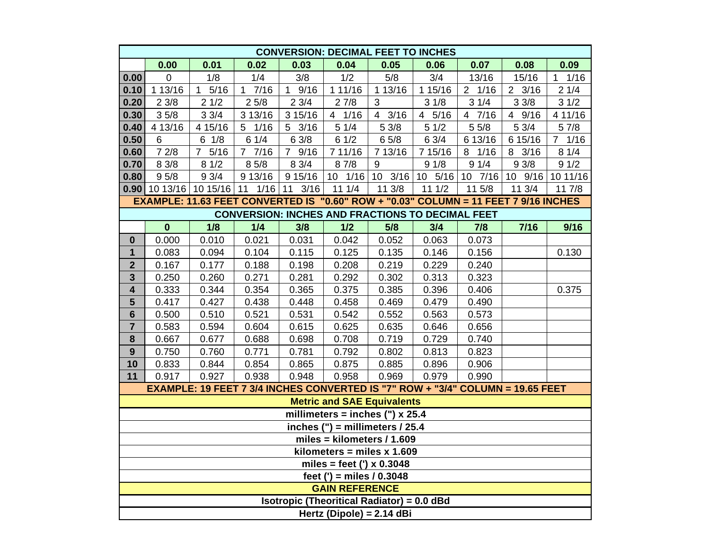| <b>CONVERSION: DECIMAL FEET TO INCHES</b>                                           |                          |                                                                                |            |                      |                                                   |                        |                         |                        |                  |                        |  |  |  |
|-------------------------------------------------------------------------------------|--------------------------|--------------------------------------------------------------------------------|------------|----------------------|---------------------------------------------------|------------------------|-------------------------|------------------------|------------------|------------------------|--|--|--|
|                                                                                     | 0.00                     | 0.01                                                                           | 0.02       | 0.03                 | 0.04                                              | 0.05                   | 0.06                    | 0.07                   | 0.08             | 0.09                   |  |  |  |
| 0.00                                                                                | $\mathbf 0$              | 1/8                                                                            | 1/4        | 3/8                  | 1/2                                               | 5/8                    | 3/4                     | 13/16                  | 15/16            | 1/16<br>1              |  |  |  |
| 0.10                                                                                | 1 13/16                  | 5/16<br>1                                                                      | $1 \t7/16$ | $\mathbf{1}$<br>9/16 | 111/16                                            | 1 13/16                | 1 15/16                 | $2 \t1/16$             | $2 \frac{3}{16}$ | 21/4                   |  |  |  |
| 0.20                                                                                | 23/8                     | 21/2                                                                           | 25/8       | 23/4                 | 27/8                                              | 3                      | 31/8                    | 31/4                   | 33/8             | 31/2                   |  |  |  |
| 0.30                                                                                | 35/8                     | 33/4                                                                           | 3 13/16    | 3 15/16              | 4 1/16                                            | 3/16<br>$\overline{4}$ | 5/16<br>$\overline{4}$  | $\overline{4}$<br>7/16 | 4 9/16           | 4 11/16                |  |  |  |
| 0.40                                                                                | 4 13/16                  | 4 15/16                                                                        | $5 \t1/16$ | $5 \frac{3}{16}$     | 51/4                                              | 53/8                   | 51/2                    | 5 5/8                  | 53/4             | 5 7/8                  |  |  |  |
| 0.50                                                                                | 6                        | $6 \frac{1}{8}$                                                                | 61/4       | 6 3/8                | 61/2                                              | 65/8                   | 6 3/4                   | 6 13/16                | 6 15/16          | 1/16<br>$\overline{7}$ |  |  |  |
| 0.60                                                                                | 72/8                     | 7 5/16                                                                         | 7 7/16     | 7 9/16               | 7 11/16                                           | 7 13/16                | 7 15/16                 | 1/16<br>8              | 8<br>3/16        | 81/4                   |  |  |  |
| 0.70                                                                                | 8 3/8                    | 81/2                                                                           | 8 5/8      | 8 3/4                | 87/8                                              | 9                      | 91/8                    | 91/4                   | 93/8             | 91/2                   |  |  |  |
| 0.80                                                                                | 95/8                     | 93/4                                                                           | 9 13/16    | 9 15/16              | 10 1/16                                           | 10 3/16                | $10 \t5/16 \t10 \t7/16$ |                        | $10 \t9/16$      | 10 11/16               |  |  |  |
|                                                                                     | $0.90$ 10 13/16 10 15/16 |                                                                                | 1/16<br>11 | 3/16<br>11           | 111/4                                             | 11 3/8                 | 111/2                   | 11 5/8                 | 11 3/4           | 11 7/8                 |  |  |  |
| EXAMPLE: 11.63 FEET CONVERTED IS "0.60" ROW + "0.03" COLUMN = 11 FEET 7 9/16 INCHES |                          |                                                                                |            |                      |                                                   |                        |                         |                        |                  |                        |  |  |  |
| <b>CONVERSION: INCHES AND FRACTIONS TO DECIMAL FEET</b>                             |                          |                                                                                |            |                      |                                                   |                        |                         |                        |                  |                        |  |  |  |
|                                                                                     | $\mathbf 0$              | 1/8                                                                            | 1/4        | 3/8                  | 1/2                                               | 5/8                    | 3/4                     | 7/8                    | $7/16$           | 9/16                   |  |  |  |
| $\bf{0}$                                                                            | 0.000                    | 0.010                                                                          | 0.021      | 0.031                | 0.042                                             | 0.052                  | 0.063                   | 0.073                  |                  |                        |  |  |  |
| $\mathbf{1}$                                                                        | 0.083                    | 0.094                                                                          | 0.104      | 0.115                | 0.125                                             | 0.135                  | 0.146                   | 0.156                  |                  | 0.130                  |  |  |  |
| $\mathbf{2}$                                                                        | 0.167                    | 0.177                                                                          | 0.188      | 0.198                | 0.208                                             | 0.219                  | 0.229                   | 0.240                  |                  |                        |  |  |  |
| $\overline{\mathbf{3}}$                                                             | 0.250                    | 0.260                                                                          | 0.271      | 0.281                | 0.292                                             | 0.302                  | 0.313                   | 0.323                  |                  |                        |  |  |  |
| $\overline{\mathbf{4}}$                                                             | 0.333                    | 0.344                                                                          | 0.354      | 0.365                | 0.375                                             | 0.385                  | 0.396                   | 0.406                  |                  | 0.375                  |  |  |  |
| $5\phantom{1}$                                                                      | 0.417                    | 0.427                                                                          | 0.438      | 0.448                | 0.458                                             | 0.469                  | 0.479                   | 0.490                  |                  |                        |  |  |  |
| $6\phantom{1}$                                                                      | 0.500                    | 0.510                                                                          | 0.521      | 0.531                | 0.542                                             | 0.552                  | 0.563                   | 0.573                  |                  |                        |  |  |  |
| $\overline{7}$                                                                      | 0.583                    | 0.594                                                                          | 0.604      | 0.615                | 0.625                                             | 0.635                  | 0.646                   | 0.656                  |                  |                        |  |  |  |
| 8                                                                                   | 0.667                    | 0.677                                                                          | 0.688      | 0.698                | 0.708                                             | 0.719                  | 0.729                   | 0.740                  |                  |                        |  |  |  |
| 9                                                                                   | 0.750                    | 0.760                                                                          | 0.771      | 0.781                | 0.792                                             | 0.802                  | 0.813                   | 0.823                  |                  |                        |  |  |  |
| 10                                                                                  | 0.833                    | 0.844                                                                          | 0.854      | 0.865                | 0.875                                             | 0.885                  | 0.896                   | 0.906                  |                  |                        |  |  |  |
| 11                                                                                  | 0.917                    | 0.927                                                                          | 0.938      | 0.948                | 0.958                                             | 0.969                  | 0.979                   | 0.990                  |                  |                        |  |  |  |
|                                                                                     |                          | EXAMPLE: 19 FEET 7 3/4 INCHES CONVERTED IS "7" ROW + "3/4" COLUMN = 19.65 FEET |            |                      |                                                   |                        |                         |                        |                  |                        |  |  |  |
|                                                                                     |                          |                                                                                |            |                      | <b>Metric and SAE Equivalents</b>                 |                        |                         |                        |                  |                        |  |  |  |
|                                                                                     |                          |                                                                                |            |                      | millimeters = inches $('')$ x 25.4                |                        |                         |                        |                  |                        |  |  |  |
|                                                                                     |                          |                                                                                |            |                      | inches (") = millimeters $/$ 25.4                 |                        |                         |                        |                  |                        |  |  |  |
|                                                                                     |                          |                                                                                |            |                      | miles = $kilometers / 1.609$                      |                        |                         |                        |                  |                        |  |  |  |
|                                                                                     |                          |                                                                                |            |                      | kilometers = miles $x$ 1.609                      |                        |                         |                        |                  |                        |  |  |  |
| miles = feet (') $\times$ 0.3048                                                    |                          |                                                                                |            |                      |                                                   |                        |                         |                        |                  |                        |  |  |  |
| feet (') = miles $/ 0.3048$<br><b>GAIN REFERENCE</b>                                |                          |                                                                                |            |                      |                                                   |                        |                         |                        |                  |                        |  |  |  |
|                                                                                     |                          |                                                                                |            |                      | <b>Isotropic (Theoritical Radiator) = 0.0 dBd</b> |                        |                         |                        |                  |                        |  |  |  |
|                                                                                     |                          |                                                                                |            |                      | Hertz (Dipole) = $2.14$ dBi                       |                        |                         |                        |                  |                        |  |  |  |